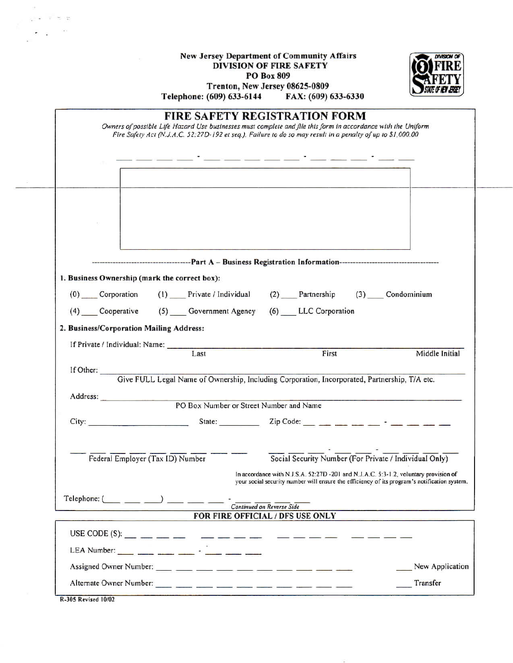## New Jersey Department of Community Affair DIVISION OF FIRE SAFETY PO Box 809 Trenton, New Jersey 08625-0809 Telephone: (609) 633-6144 FAX: (609) 633-6330

 $\sim$ 

ga risg<br>R



|                                          |                                                    | <b>FIRE SAFETY REGISTRATION FORM</b><br>Owners of possible Life Hazard Use businesses must complete and file this form in accordance with the Uniform<br>Fire Safety Act (N.J.A.C. 52:27D-192 et sea.). Failure to do so may result in a penalty of up to \$1,000.00                                                                                |
|------------------------------------------|----------------------------------------------------|-----------------------------------------------------------------------------------------------------------------------------------------------------------------------------------------------------------------------------------------------------------------------------------------------------------------------------------------------------|
|                                          |                                                    | فستوسط المسوسيونيسا المسوميين وسوميتهمون المسوميين وسومي                                                                                                                                                                                                                                                                                            |
|                                          |                                                    |                                                                                                                                                                                                                                                                                                                                                     |
|                                          |                                                    | ---------------------------------Part A - Business Registration Information----------------------------------                                                                                                                                                                                                                                       |
|                                          | 1. Business Ownership (mark the correct box):      |                                                                                                                                                                                                                                                                                                                                                     |
|                                          |                                                    | (0) Corporation (1) Private / Individual (2) Partnership (3) Condominium                                                                                                                                                                                                                                                                            |
|                                          |                                                    | (4) Cooperative (5) Government Agency (6) LLC Corporation                                                                                                                                                                                                                                                                                           |
| 2. Business/Corporation Mailing Address: |                                                    |                                                                                                                                                                                                                                                                                                                                                     |
|                                          |                                                    |                                                                                                                                                                                                                                                                                                                                                     |
|                                          | Last                                               | First<br>Middle Initial                                                                                                                                                                                                                                                                                                                             |
| If Other:                                |                                                    |                                                                                                                                                                                                                                                                                                                                                     |
|                                          |                                                    | Give FULL Legal Name of Ownership, Including Corporation, Incorporated, Partnership, T/A etc.                                                                                                                                                                                                                                                       |
| Address: 2008                            |                                                    |                                                                                                                                                                                                                                                                                                                                                     |
|                                          |                                                    | PO Box Number or Street Number and Name                                                                                                                                                                                                                                                                                                             |
|                                          |                                                    |                                                                                                                                                                                                                                                                                                                                                     |
|                                          |                                                    | City: State: $\qquad \qquad$ State: $\qquad \qquad$ Zip Code: $\qquad \qquad$ $\qquad \qquad$ $\qquad \qquad$ $\qquad \qquad$ $\qquad \qquad$ $\qquad \qquad$ $\qquad$ $\qquad \qquad$ $\qquad$ $\qquad$ $\qquad$ $\qquad$ $\qquad$ $\qquad$ $\qquad$ $\qquad$ $\qquad$ $\qquad$ $\qquad$ $\qquad$ $\qquad$ $\qquad$ $\qquad$ $\qquad$ $\qquad$ $\$ |
|                                          |                                                    |                                                                                                                                                                                                                                                                                                                                                     |
|                                          | Federal Employer (Tax ID) Number                   | Social Security Number (For Private / Individual Only)                                                                                                                                                                                                                                                                                              |
|                                          |                                                    | In accordance with N.J.S.A. 52:27D -201 and N.J.A.C. 5:3-1.2, voluntary provision of                                                                                                                                                                                                                                                                |
|                                          |                                                    | your social security number will ensure the efficiency of its program's notification system,                                                                                                                                                                                                                                                        |
|                                          | $\text{Telephone:}$ ( ____ ___ ___ ) ____ ____ ___ | Continued on Reverse Side                                                                                                                                                                                                                                                                                                                           |
|                                          |                                                    | FOR FIRE OFFICIAL / DFS USE ONLY                                                                                                                                                                                                                                                                                                                    |
|                                          |                                                    |                                                                                                                                                                                                                                                                                                                                                     |
|                                          | USE CODE (S): __ _ _ _ _ _ _ _ _ _ _ _ _ _ _       |                                                                                                                                                                                                                                                                                                                                                     |
|                                          | LEA Number: ___ ___ ___ ___ __ __ __ ___ ___ ____  |                                                                                                                                                                                                                                                                                                                                                     |
|                                          |                                                    | New Application<br>Transfer                                                                                                                                                                                                                                                                                                                         |